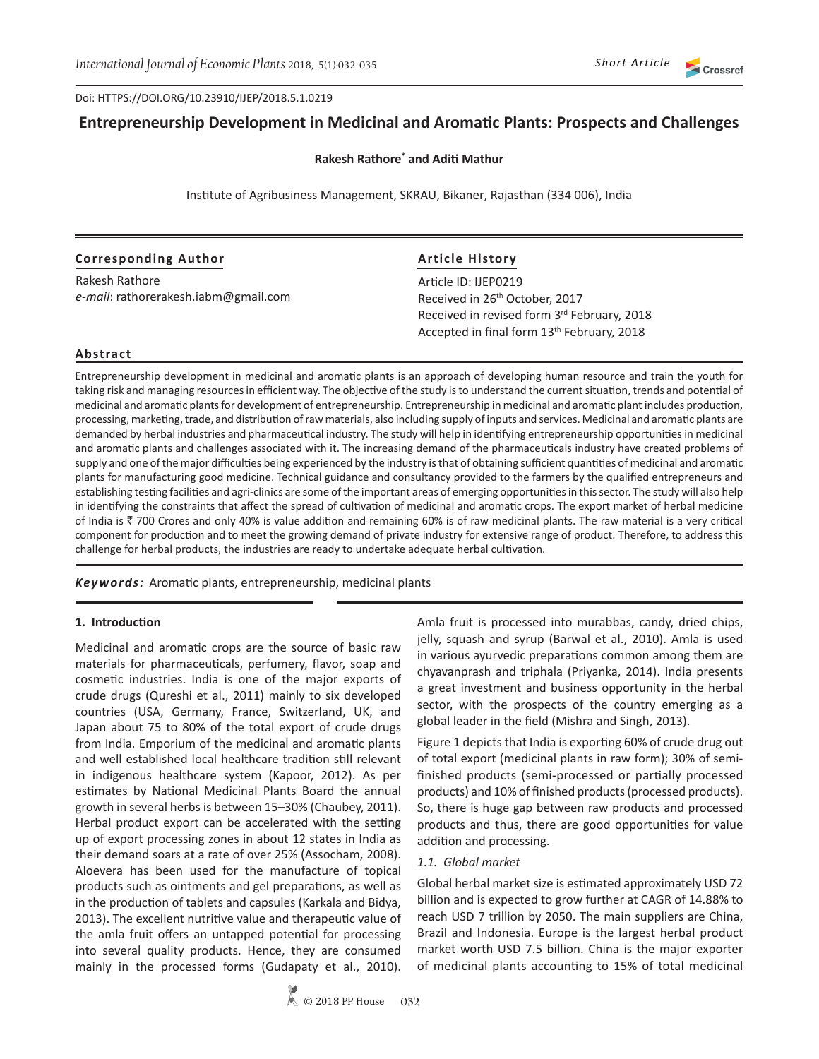Doi: HTTPS://DOI.ORG/10.23910/IJEP/2018.5.1.0219

# **Entrepreneurship Development in Medicinal and Aromatic Plants: Prospects and Challenges**

**Rakesh Rathore\* and Aditi Mathur**

Institute of Agribusiness Management, SKRAU, Bikaner, Rajasthan (334 006), India

#### **Corresponding Author**

Rakesh Rathore *e-mail*: rathorerakesh.iabm@gmail.com

## **Article History**

Article ID: IJEP0219 Received in 26<sup>th</sup> October, 2017 Received in revised form 3rd February, 2018 Accepted in final form 13<sup>th</sup> February, 2018

#### **Abstract**

Entrepreneurship development in medicinal and aromatic plants is an approach of developing human resource and train the youth for taking risk and managing resources in efficient way. The objective of the study is to understand the current situation, trends and potential of medicinal and aromatic plants for development of entrepreneurship. Entrepreneurship in medicinal and aromatic plant includes production, processing, marketing, trade, and distribution of raw materials, also including supply of inputs and services. Medicinal and aromatic plants are demanded by herbal industries and pharmaceutical industry. The study will help in identifying entrepreneurship opportunities in medicinal and aromatic plants and challenges associated with it. The increasing demand of the pharmaceuticals industry have created problems of supply and one of the major difficulties being experienced by the industry is that of obtaining sufficient quantities of medicinal and aromatic plants for manufacturing good medicine. Technical guidance and consultancy provided to the farmers by the qualified entrepreneurs and establishing testing facilities and agri-clinics are some of the important areas of emerging opportunities in this sector. The study will also help in identifying the constraints that affect the spread of cultivation of medicinal and aromatic crops. The export market of herbal medicine of India is ₹700 Crores and only 40% is value addition and remaining 60% is of raw medicinal plants. The raw material is a very critical component for production and to meet the growing demand of private industry for extensive range of product. Therefore, to address this challenge for herbal products, the industries are ready to undertake adequate herbal cultivation.

*Keywords:* Aromatic plants, entrepreneurship, medicinal plants

#### **1. Introduction**

Medicinal and aromatic crops are the source of basic raw materials for pharmaceuticals, perfumery, flavor, soap and cosmetic industries. India is one of the major exports of crude drugs (Qureshi et al., 2011) mainly to six developed countries (USA, Germany, France, Switzerland, UK, and Japan about 75 to 80% of the total export of crude drugs from India. Emporium of the medicinal and aromatic plants and well established local healthcare tradition still relevant in indigenous healthcare system (Kapoor, 2012). As per estimates by National Medicinal Plants Board the annual growth in several herbs is between 15–30% (Chaubey, 2011). Herbal product export can be accelerated with the setting up of export processing zones in about 12 states in India as their demand soars at a rate of over 25% (Assocham, 2008). Aloevera has been used for the manufacture of topical products such as ointments and gel preparations, as well as in the production of tablets and capsules (Karkala and Bidya, 2013). The excellent nutritive value and therapeutic value of the amla fruit offers an untapped potential for processing into several quality products. Hence, they are consumed mainly in the processed forms (Gudapaty et al., 2010). Amla fruit is processed into murabbas, candy, dried chips, jelly, squash and syrup (Barwal et al., 2010). Amla is used in various ayurvedic preparations common among them are chyavanprash and triphala (Priyanka, 2014). India presents a great investment and business opportunity in the herbal sector, with the prospects of the country emerging as a global leader in the field (Mishra and Singh, 2013).

Figure 1 depicts that India is exporting 60% of crude drug out of total export (medicinal plants in raw form); 30% of semifinished products (semi-processed or partially processed products) and 10% of finished products (processed products). So, there is huge gap between raw products and processed products and thus, there are good opportunities for value addition and processing.

#### *1.1. Global market*

Global herbal market size is estimated approximately USD 72 billion and is expected to grow further at CAGR of 14.88% to reach USD 7 trillion by 2050. The main suppliers are China, Brazil and Indonesia. Europe is the largest herbal product market worth USD 7.5 billion. China is the major exporter of medicinal plants accounting to 15% of total medicinal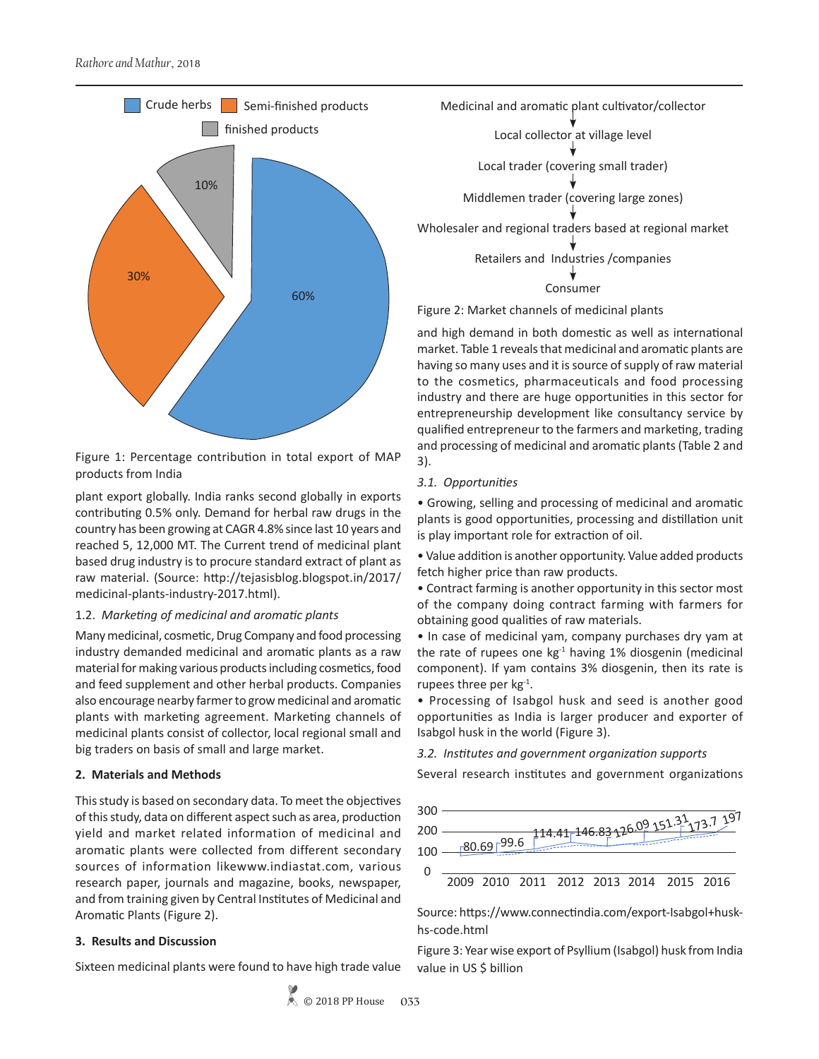

Figure 1: Percentage contribution in total export of MAP products from India

plant export globally. India ranks second globally in exports contributing 0.5% only. Demand for herbal raw drugs in the country has been growing at CAGR 4.8% since last 10 years and reached 5, 12,000 MT. The Current trend of medicinal plant based drug industry is to procure standard extract of plant as raw material. (Source: http://tejasisblog.blogspot.in/2017/ medicinal-plants-industry-2017.html).

### 1.2. *Marketing of medicinal and aromatic plants*

Many medicinal, cosmetic, Drug Company and food processing industry demanded medicinal and aromatic plants as a raw material for making various products including cosmetics, food and feed supplement and other herbal products. Companies also encourage nearby farmer to grow medicinal and aromatic plants with marketing agreement. Marketing channels of medicinal plants consist of collector, local regional small and big traders on basis of small and large market.

# **2. Materials and Methods**

This study is based on secondary data. To meet the objectives of this study, data on different aspect such as area, production yield and market related information of medicinal and aromatic plants were collected from different secondary sources of information likewww.indiastat.com, various research paper, journals and magazine, books, newspaper, and from training given by Central Institutes of Medicinal and Aromatic Plants (Figure 2).

# **3. Results and Discussion**

Sixteen medicinal plants were found to have high trade value

Medicinal and aromatic plant cultivator/collector

Local collector at village level

Local trader (covering small trader)

Middlemen trader (covering large zones)

Wholesaler and regional traders based at regional market

Retailers and Industries /companies

Consumer

Figure 2: Market channels of medicinal plants

and high demand in both domestic as well as international market. Table 1 reveals that medicinal and aromatic plants are having so many uses and it is source of supply of raw material to the cosmetics, pharmaceuticals and food processing industry and there are huge opportunities in this sector for entrepreneurship development like consultancy service by qualified entrepreneur to the farmers and marketing, trading and processing of medicinal and aromatic plants (Table 2 and 3).

# *3.1. Opportunities*

• Growing, selling and processing of medicinal and aromatic plants is good opportunities, processing and distillation unit is play important role for extraction of oil.

• Value addition is another opportunity. Value added products fetch higher price than raw products.

• Contract farming is another opportunity in this sector most of the company doing contract farming with farmers for obtaining good qualities of raw materials.

• In case of medicinal yam, company purchases dry yam at the rate of rupees one  $kg<sup>-1</sup>$  having 1% diosgenin (medicinal component). If yam contains 3% diosgenin, then its rate is rupees three per  $kg^{-1}$ .

• Processing of Isabgol husk and seed is another good opportunities as India is larger producer and exporter of Isabgol husk in the world (Figure 3).

*3.2. Institutes and government organization supports*

Several research institutes and government organizations



Source: https://www.connectindia.com/export-Isabgol+huskhs-code.html

Figure 3: Year wise export of Psyllium (Isabgol) husk from India value in US \$ billion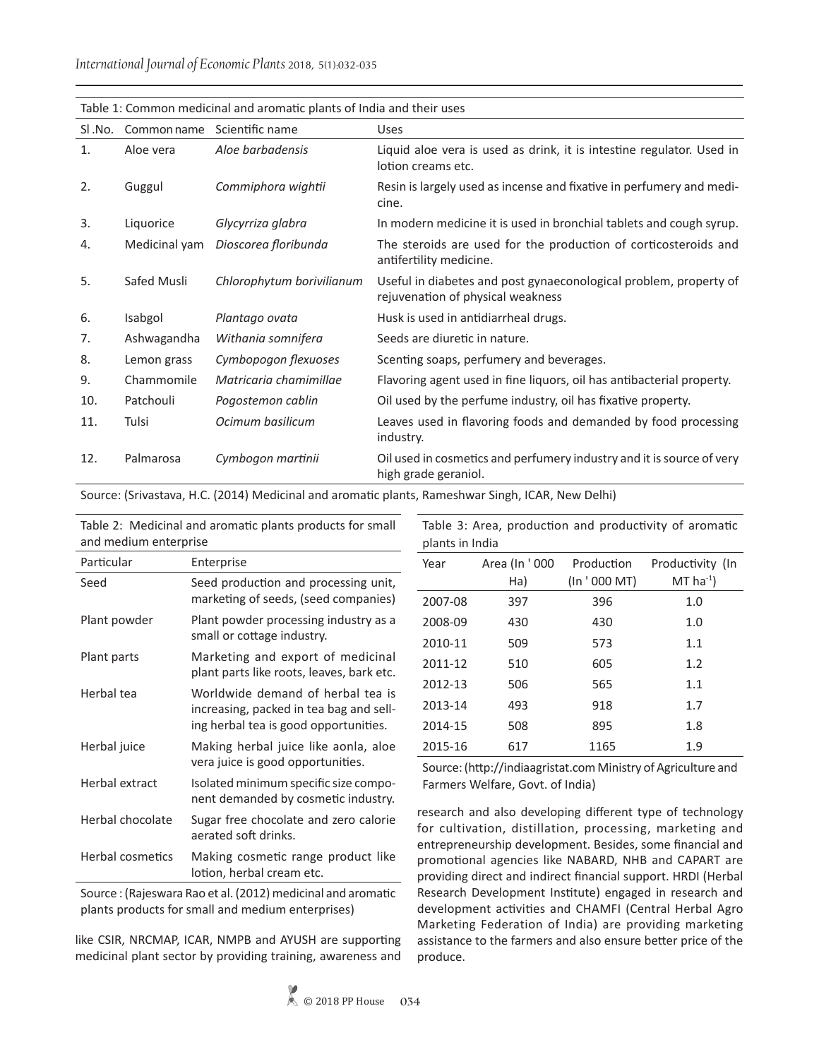|        | Table 1: Common medicinal and aromatic plants of India and their uses |                           |                                                                                                        |  |  |
|--------|-----------------------------------------------------------------------|---------------------------|--------------------------------------------------------------------------------------------------------|--|--|
| SI.No. | Common name                                                           | Scientific name           | <b>Uses</b>                                                                                            |  |  |
| 1.     | Aloe vera                                                             | Aloe barbadensis          | Liquid aloe vera is used as drink, it is intestine regulator. Used in<br>lotion creams etc.            |  |  |
| 2.     | Guggul                                                                | Commiphora wightii        | Resin is largely used as incense and fixative in perfumery and medi-<br>cine.                          |  |  |
| 3.     | Liquorice                                                             | Glycyrriza glabra         | In modern medicine it is used in bronchial tablets and cough syrup.                                    |  |  |
| 4.     | Medicinal yam                                                         | Dioscorea floribunda      | The steroids are used for the production of corticosteroids and<br>antifertility medicine.             |  |  |
| 5.     | Safed Musli                                                           | Chlorophytum borivilianum | Useful in diabetes and post gynaeconological problem, property of<br>rejuvenation of physical weakness |  |  |
| 6.     | Isabgol                                                               | Plantago ovata            | Husk is used in antidiarrheal drugs.                                                                   |  |  |
| 7.     | Ashwagandha                                                           | Withania somnifera        | Seeds are diuretic in nature.                                                                          |  |  |
| 8.     | Lemon grass                                                           | Cymbopogon flexuoses      | Scenting soaps, perfumery and beverages.                                                               |  |  |
| 9.     | Chammomile                                                            | Matricaria chamimillae    | Flavoring agent used in fine liquors, oil has antibacterial property.                                  |  |  |
| 10.    | Patchouli                                                             | Pogostemon cablin         | Oil used by the perfume industry, oil has fixative property.                                           |  |  |
| 11.    | Tulsi                                                                 | Ocimum basilicum          | Leaves used in flavoring foods and demanded by food processing<br>industry.                            |  |  |
| 12.    | Palmarosa                                                             | Cymbogon martinii         | Oil used in cosmetics and perfumery industry and it is source of very<br>high grade geraniol.          |  |  |

Source: (Srivastava, H.C. (2014) Medicinal and aromatic plants, Rameshwar Singh, ICAR, New Delhi)

Table 2: Medicinal and aromatic plants products for small and medium enterprise

| Table 3: Area, production and productivity of aromatic |  |  |  |
|--------------------------------------------------------|--|--|--|
| plants in India                                        |  |  |  |

| Seed<br>Seed production and processing unit,<br>marketing of seeds, (seed companies)<br>Plant powder<br>Plant powder processing industry as a<br>small or cottage industry.<br>Marketing and export of medicinal<br>Plant parts<br>plant parts like roots, leaves, bark etc.<br>Worldwide demand of herbal tea is<br>Herbal tea | Particular | Enterprise                              |
|---------------------------------------------------------------------------------------------------------------------------------------------------------------------------------------------------------------------------------------------------------------------------------------------------------------------------------|------------|-----------------------------------------|
|                                                                                                                                                                                                                                                                                                                                 |            |                                         |
|                                                                                                                                                                                                                                                                                                                                 |            |                                         |
|                                                                                                                                                                                                                                                                                                                                 |            |                                         |
| ing herbal tea is good opportunities.                                                                                                                                                                                                                                                                                           |            | increasing, packed in tea bag and sell- |
| Herbal juice<br>Making herbal juice like aonla, aloe<br>vera juice is good opportunities.                                                                                                                                                                                                                                       |            |                                         |
| Herbal extract<br>Isolated minimum specific size compo-<br>nent demanded by cosmetic industry.                                                                                                                                                                                                                                  |            |                                         |
| Herbal chocolate<br>Sugar free chocolate and zero calorie<br>aerated soft drinks.                                                                                                                                                                                                                                               |            |                                         |
| Herbal cosmetics<br>Making cosmetic range product like<br>lotion, herbal cream etc.                                                                                                                                                                                                                                             |            |                                         |

Source : (Rajeswara Rao et al. (2012) medicinal and aromatic plants products for small and medium enterprises)

like CSIR, NRCMAP, ICAR, NMPB and AYUSH are supporting medicinal plant sector by providing training, awareness and

| plants in India |               |              |                         |
|-----------------|---------------|--------------|-------------------------|
| Year            | Area (In '000 | Production   | Productivity (In        |
|                 | Ha)           | (In '000 MT) | $MT$ ha <sup>-1</sup> ) |
| 2007-08         | 397           | 396          | 1.0                     |
| 2008-09         | 430           | 430          | 1.0                     |
| 2010-11         | 509           | 573          | 1.1                     |
| 2011-12         | 510           | 605          | 1.2                     |
| 2012-13         | 506           | 565          | 1.1                     |
| 2013-14         | 493           | 918          | 1.7                     |
| 2014-15         | 508           | 895          | 1.8                     |
| 2015-16         | 617           | 1165         | 1.9                     |

Source: (http://indiaagristat.com Ministry of Agriculture and Farmers Welfare, Govt. of India)

research and also developing different type of technology for cultivation, distillation, processing, marketing and entrepreneurship development. Besides, some financial and promotional agencies like NABARD, NHB and CAPART are providing direct and indirect financial support. HRDI (Herbal Research Development Institute) engaged in research and development activities and CHAMFI (Central Herbal Agro Marketing Federation of India) are providing marketing assistance to the farmers and also ensure better price of the produce.